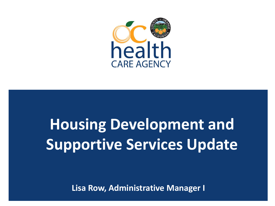

# **Housing Development and Supportive Services Update**

**Lisa Row, Administrative Manager I**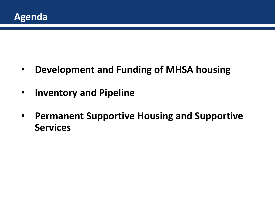

- **Development and Funding of MHSA housing**
- **Inventory and Pipeline**
- **Permanent Supportive Housing and Supportive Services**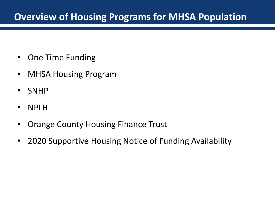# **Overview of Housing Programs for MHSA Population**

- One Time Funding
- MHSA Housing Program
- SNHP
- NPLH
- Orange County Housing Finance Trust
- 2020 Supportive Housing Notice of Funding Availability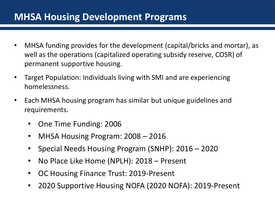#### **MHSA Housing Development Programs**

- MHSA funding provides for the development (capital/bricks and mortar), as well as the operations (capitalized operating subsidy reserve, COSR) of permanent supportive housing.
- Target Population: Individuals living with SMI and are experiencing homelessness.
- Each MHSA housing program has similar but unique guidelines and requirements.
	- One Time Funding: 2006
	- MHSA Housing Program: 2008 2016
	- Special Needs Housing Program (SNHP): 2016 2020
	- No Place Like Home (NPLH): 2018 Present
	- OC Housing Finance Trust: 2019-Present
	- 2020 Supportive Housing NOFA (2020 NOFA): 2019-Present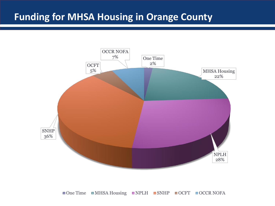# **Funding for MHSA Housing in Orange County**



■ One Time ■ MHSA Housing ■ NPLH ■ SNHP ■ OCFT ■ OCCR NOFA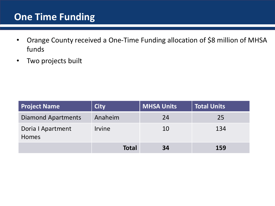#### **One Time Funding**

- Orange County received a One-Time Funding allocation of \$8 million of MHSA funds
- Two projects built

| <b>Project Name</b>               | <b>City</b>   | <b>MHSA Units</b> | <b>Total Units</b> |
|-----------------------------------|---------------|-------------------|--------------------|
| <b>Diamond Apartments</b>         | Anaheim       | 24                | 25                 |
| Doria I Apartment<br><b>Homes</b> | <b>Irvine</b> | 10                | 134                |
|                                   | <b>Total</b>  | 34                | 159                |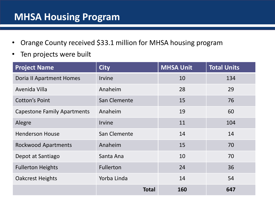# **MHSA Housing Program**

- Orange County received \$33.1 million for MHSA housing program
- Ten projects were built

| <b>Project Name</b>                | <b>City</b>      | <b>MHSA Unit</b> | <b>Total Units</b> |
|------------------------------------|------------------|------------------|--------------------|
| <b>Doria II Apartment Homes</b>    | <b>Irvine</b>    | 10               | 134                |
| Avenida Villa                      | Anaheim          | 28               | 29                 |
| <b>Cotton's Point</b>              | San Clemente     | 15               | 76                 |
| <b>Capestone Family Apartments</b> | Anaheim          | 19               | 60                 |
| Alegre                             | <b>Irvine</b>    | 11               | 104                |
| <b>Henderson House</b>             | San Clemente     | 14               | 14                 |
| <b>Rockwood Apartments</b>         | Anaheim          | 15               | 70                 |
| Depot at Santiago                  | Santa Ana        | 10               | 70                 |
| <b>Fullerton Heights</b>           | <b>Fullerton</b> | 24               | 36                 |
| <b>Oakcrest Heights</b>            | Yorba Linda      | 14               | 54                 |
|                                    | Total            | 160              | 647                |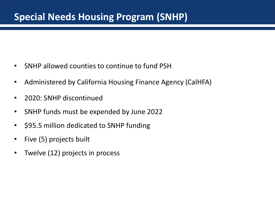- SNHP allowed counties to continue to fund PSH
- Administered by California Housing Finance Agency (CalHFA)
- 2020: SNHP discontinued
- SNHP funds must be expended by June 2022
- \$95.5 million dedicated to SNHP funding
- Five (5) projects built
- Twelve (12) projects in process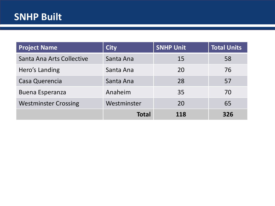# **SNHP Built**

| <b>Project Name</b>         | <b>City</b>  | <b>SNHP Unit</b> | <b>Total Units</b> |
|-----------------------------|--------------|------------------|--------------------|
| Santa Ana Arts Collective   | Santa Ana    | 15               | 58                 |
| Hero's Landing              | Santa Ana    | 20               | 76                 |
| Casa Querencia              | Santa Ana    | 28               | 57                 |
| <b>Buena Esperanza</b>      | Anaheim      | 35               | 70                 |
| <b>Westminster Crossing</b> | Westminster  | 20               | 65                 |
|                             | <b>Total</b> | 118              | 326                |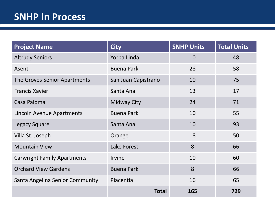| <b>Project Name</b>                | <b>City</b>         | <b>SNHP Units</b> | <b>Total Units</b> |
|------------------------------------|---------------------|-------------------|--------------------|
| <b>Altrudy Seniors</b>             | Yorba Linda         | 10                | 48                 |
| Asent                              | <b>Buena Park</b>   | 28                | 58                 |
| The Groves Senior Apartments       | San Juan Capistrano | 10                | 75                 |
| <b>Francis Xavier</b>              | Santa Ana           | 13                | 17                 |
| Casa Paloma                        | <b>Midway City</b>  | 24                | 71                 |
| Lincoln Avenue Apartments          | <b>Buena Park</b>   | 10                | 55                 |
| <b>Legacy Square</b>               | Santa Ana           | 10                | 93                 |
| Villa St. Joseph                   | Orange              | 18                | 50                 |
| <b>Mountain View</b>               | Lake Forest         | 8                 | 66                 |
| <b>Carwright Family Apartments</b> | <b>Irvine</b>       | 10                | 60                 |
| <b>Orchard View Gardens</b>        | <b>Buena Park</b>   | 8                 | 66                 |
| Santa Angelina Senior Community    | Placentia           | 16                | 65                 |
|                                    | <b>Total</b>        | 165               | 729                |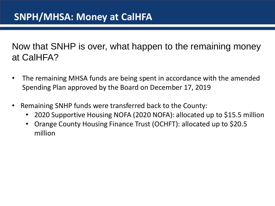Now that SNHP is over, what happen to the remaining money at CalHFA?

- The remaining MHSA funds are being spent in accordance with the amended Spending Plan approved by the Board on December 17, 2019
- Remaining SNHP funds were transferred back to the County:
	- 2020 Supportive Housing NOFA (2020 NOFA): allocated up to \$15.5 million
	- Orange County Housing Finance Trust (OCHFT): allocated up to \$20.5 million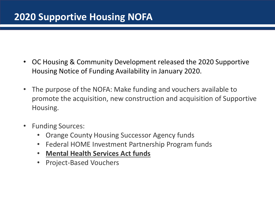# **2020 Supportive Housing NOFA**

- OC Housing & Community Development released the 2020 Supportive Housing Notice of Funding Availability in January 2020.
- The purpose of the NOFA: Make funding and vouchers available to promote the acquisition, new construction and acquisition of Supportive Housing.
- Funding Sources:
	- Orange County Housing Successor Agency funds
	- Federal HOME Investment Partnership Program funds
	- **Mental Health Services Act funds**
	- Project-Based Vouchers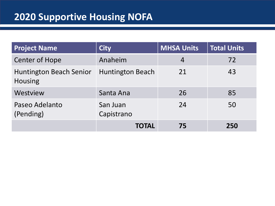| <b>Project Name</b>                              | <b>City</b>             | <b>MHSA Units</b> | <b>Total Units</b> |
|--------------------------------------------------|-------------------------|-------------------|--------------------|
| <b>Center of Hope</b>                            | Anaheim                 | 4                 | 72                 |
| <b>Huntington Beach Senior</b><br><b>Housing</b> | <b>Huntington Beach</b> | 21                | 43                 |
| Westview                                         | Santa Ana               | 26                | 85                 |
| Paseo Adelanto<br>(Pending)                      | San Juan<br>Capistrano  | 24                | 50                 |
|                                                  | TOTAL                   | 75                | 250                |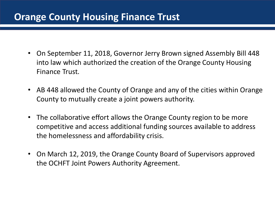#### **Orange County Housing Finance Trust**

- On September 11, 2018, Governor Jerry Brown signed Assembly Bill 448 into law which authorized the creation of the Orange County Housing Finance Trust.
- AB 448 allowed the County of Orange and any of the cities within Orange County to mutually create a joint powers authority.
- The collaborative effort allows the Orange County region to be more competitive and access additional funding sources available to address the homelessness and affordability crisis.
- On March 12, 2019, the Orange County Board of Supervisors approved the OCHFT Joint Powers Authority Agreement.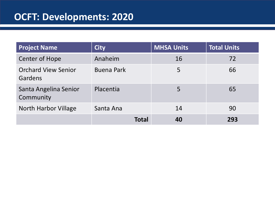# **OCFT: Developments: 2020**

| <b>Project Name</b>                   | <b>City</b>       | <b>MHSA Units</b> | <b>Total Units</b> |
|---------------------------------------|-------------------|-------------------|--------------------|
| <b>Center of Hope</b>                 | Anaheim           | 16                | 72                 |
| <b>Orchard View Senior</b><br>Gardens | <b>Buena Park</b> | 5                 | 66                 |
| Santa Angelina Senior<br>Community    | Placentia         | 5                 | 65                 |
| <b>North Harbor Village</b>           | Santa Ana         | 14                | 90                 |
|                                       | <b>Total</b>      | 40                | 293                |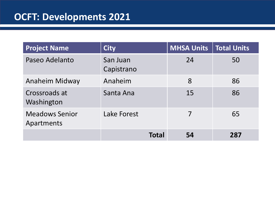| <b>Project Name</b>                 | <b>City</b>            | <b>MHSA Units</b> | Total Units |
|-------------------------------------|------------------------|-------------------|-------------|
| Paseo Adelanto                      | San Juan<br>Capistrano | 24                | 50          |
| Anaheim Midway                      | Anaheim                | 8                 | 86          |
| Crossroads at<br>Washington         | Santa Ana              | 15                | 86          |
| <b>Meadows Senior</b><br>Apartments | <b>Lake Forest</b>     | 7                 | 65          |
|                                     | <b>Total</b>           | 54                | 287         |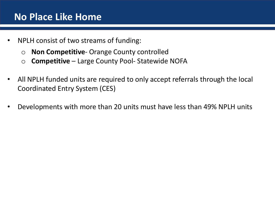#### **No Place Like Home**

- NPLH consist of two streams of funding:
	- o **Non Competitive** Orange County controlled
	- o **Competitive** Large County Pool- Statewide NOFA
- All NPLH funded units are required to only accept referrals through the local Coordinated Entry System (CES)
- Developments with more than 20 units must have less than 49% NPLH units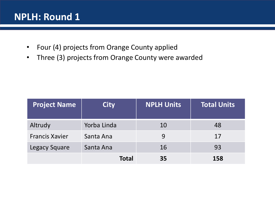#### **NPLH: Round 1**

- Four (4) projects from Orange County applied
- Three (3) projects from Orange County were awarded

| <b>Project Name</b>   | <b>City</b>  | <b>NPLH Units</b> | <b>Total Units</b> |
|-----------------------|--------------|-------------------|--------------------|
| Altrudy               | Yorba Linda  | 10                | 48                 |
| <b>Francis Xavier</b> | Santa Ana    | 9                 | 17                 |
| <b>Legacy Square</b>  | Santa Ana    | 16                | 93                 |
|                       | <b>Total</b> | 35                | 158                |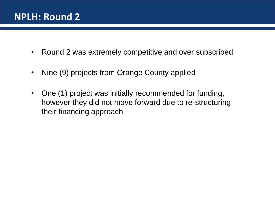#### **NPLH: Round 2**

- Round 2 was extremely competitive and over subscribed
- Nine (9) projects from Orange County applied
- One (1) project was initially recommended for funding, however they did not move forward due to re-structuring their financing approach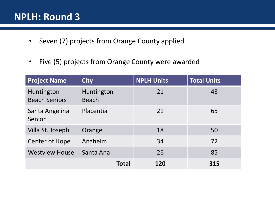#### **NPLH: Round 3**

- Seven (7) projects from Orange County applied
- Five (5) projects from Orange County were awarded

| <b>Project Name</b>                | <b>City</b>                | <b>NPLH Units</b> | <b>Total Units</b> |
|------------------------------------|----------------------------|-------------------|--------------------|
| Huntington<br><b>Beach Seniors</b> | Huntington<br><b>Beach</b> | 21                | 43                 |
| Santa Angelina<br>Senior           | Placentia                  | 21                | 65                 |
| Villa St. Joseph                   | Orange                     | 18                | 50                 |
| Center of Hope                     | Anaheim                    | 34                | 72                 |
| <b>Westview House</b>              | Santa Ana                  | 26                | 85                 |
|                                    | <b>Total</b>               | 120               | 315                |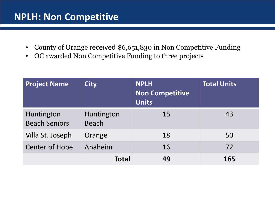#### **NPLH: Non Competitive**

- County of Orange received \$6,651,830 in Non Competitive Funding
- OC awarded Non Competitive Funding to three projects

| <b>Project Name</b>                | <b>City</b>                | <b>NPLH</b><br>Non Competitive<br><b>Units</b> | <b>Total Units</b> |
|------------------------------------|----------------------------|------------------------------------------------|--------------------|
| Huntington<br><b>Beach Seniors</b> | Huntington<br><b>Beach</b> | 15                                             | 43                 |
| Villa St. Joseph                   | Orange                     | 18                                             | 50                 |
| <b>Center of Hope</b>              | Anaheim                    | 16                                             | 72                 |
|                                    | <b>Total</b>               | 49                                             | 165                |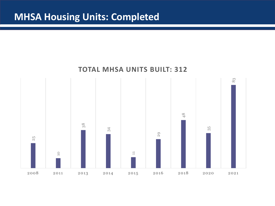#### **MHSA Housing Units: Completed**

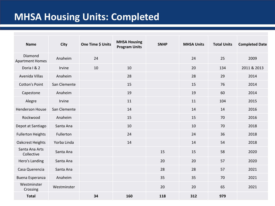# **MHSA Housing Units: Completed**

| <b>Name</b>                       | <b>City</b>  | One Time \$ Units | <b>MHSA Housing</b><br><b>Program Units</b> | <b>SNHP</b> | <b>MHSA Units</b> | <b>Total Units</b> | <b>Completed Date</b> |
|-----------------------------------|--------------|-------------------|---------------------------------------------|-------------|-------------------|--------------------|-----------------------|
| Diamond<br><b>Apartment Homes</b> | Anaheim      | 24                |                                             |             | 24                | 25                 | 2009                  |
| Doria I & 2                       | Irvine       | 10                | 10                                          |             | 20                | 134                | 2011 & 2013           |
| Avenida Villas                    | Anaheim      |                   | 28                                          |             | 28                | 29                 | 2014                  |
| <b>Cotton's Point</b>             | San Clemente |                   | 15                                          |             | 15                | 76                 | 2014                  |
| Capestone                         | Anaheim      |                   | 19                                          |             | 19                | 60                 | 2014                  |
| Alegre                            | Irvine       |                   | 11                                          |             | 11                | 104                | 2015                  |
| <b>Henderson House</b>            | San Clemente |                   | 14                                          |             | 14                | 14                 | 2016                  |
| Rockwood                          | Anaheim      |                   | 15                                          |             | 15                | 70                 | 2016                  |
| Depot at Santiago                 | Santa Ana    |                   | 10                                          |             | 10                | 70                 | 2018                  |
| <b>Fullerton Heights</b>          | Fullerton    |                   | 24                                          |             | 24                | 36                 | 2018                  |
| <b>Oakcrest Heights</b>           | Yorba Linda  |                   | 14                                          |             | 14                | 54                 | 2018                  |
| Santa Ana Arts<br>Collective      | Santa Ana    |                   |                                             | 15          | 15                | 58                 | 2020                  |
| Hero's Landing                    | Santa Ana    |                   |                                             | 20          | 20                | 57                 | 2020                  |
| Casa Querencia                    | Santa Ana    |                   |                                             | 28          | 28                | 57                 | 2021                  |
| Buena Esperanza                   | Anaheim      |                   |                                             | 35          | 35                | 70                 | 2021                  |
| Westminster<br>Crossing           | Westminster  |                   |                                             | 20          | 20                | 65                 | 2021                  |
| <b>Total</b>                      |              | 34                | 160                                         | 118         | 312               | 979                |                       |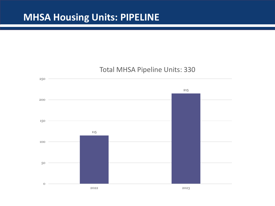# **MHSA Housing Units: PIPELINE**

#### Total MHSA Pipeline Units: 330

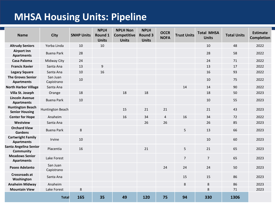# **MHSA Housing Units: Pipeline**

| <b>Name</b>                                      | City                   | <b>SNHP Units</b> | <b>NPLH</b><br>Round 1<br><b>Units</b> | <b>NPLH Non</b><br><b>Competitive</b><br><b>Units</b> | <b>NPLH</b><br><b>Round 3</b><br><b>Units</b> | <b>OCCR</b><br><b>NOFA</b> | <b>Trust Units</b> | <b>Total MHSA</b><br><b>Units</b> | <b>Total Units</b> | <b>Estimate</b><br><b>Completion</b> |
|--------------------------------------------------|------------------------|-------------------|----------------------------------------|-------------------------------------------------------|-----------------------------------------------|----------------------------|--------------------|-----------------------------------|--------------------|--------------------------------------|
| <b>Altrudy Seniors</b>                           | Yorba Linda            | 10                | 10                                     |                                                       |                                               |                            |                    | 10                                | 48                 | 2022                                 |
| <b>Airport Inn</b><br><b>Apartments</b>          | <b>Buena Park</b>      | 28                |                                        |                                                       |                                               |                            |                    | 28                                | 58                 | 2022                                 |
| <b>Casa Paloma</b>                               | Midway City            | 24                |                                        |                                                       |                                               |                            |                    | 24                                | 71                 | 2022                                 |
| <b>Francis Xavier</b>                            | Santa Ana              | 13                | 9                                      |                                                       |                                               |                            |                    | 13                                | 17                 | 2022                                 |
| <b>Legacy Square</b>                             | Santa Ana              | 10                | 16                                     |                                                       |                                               |                            |                    | 16                                | 93                 | 2022                                 |
| <b>The Groves Senior</b><br><b>Apartments</b>    | San Juan<br>Capistrano | 10                |                                        |                                                       |                                               |                            |                    | 10                                | 75                 | 2022                                 |
| <b>North Harbor Village</b>                      | Santa Ana              |                   |                                        |                                                       |                                               |                            | 14                 | 14                                | 90                 | 2022                                 |
| Villa St. Joseph                                 | Orange                 | 18                |                                        | 18                                                    | 18                                            |                            |                    | 18                                | 50                 | 2023                                 |
| <b>Lincoln Avenue</b><br><b>Apartments</b>       | <b>Buena Park</b>      | 10                |                                        |                                                       |                                               |                            |                    | 10                                | 55                 | 2023                                 |
| <b>Huntington Beach</b><br><b>Senior Housing</b> | Huntington Beach       |                   |                                        | 15                                                    | 21                                            | 21                         |                    | 21                                | 43                 | 2023                                 |
| <b>Center for Hope</b>                           | Anaheim                |                   |                                        | 16                                                    | 34                                            | $\overline{4}$             | 16                 | 34                                | 72                 | 2022                                 |
| <b>Westview</b>                                  | Santa Ana              |                   |                                        |                                                       | 26                                            | 26                         |                    | 26                                | 85                 | 2023                                 |
| <b>Orchard View</b><br><b>Gardens</b>            | <b>Buena Park</b>      | 8                 |                                        |                                                       |                                               |                            | 5                  | 13                                | 66                 | 2023                                 |
| <b>Cartwright Family</b><br><b>Apartments</b>    | Irvine                 | 10                |                                        |                                                       |                                               |                            |                    | 10                                | 60                 | 2023                                 |
| Santa Angelina Senior<br><b>Community</b>        | Placentia              | 16                |                                        |                                                       | 21                                            |                            | 5                  | 21                                | 65                 | 2023                                 |
| <b>Meadows Senior</b><br><b>Apartments</b>       | Lake Forest            |                   |                                        |                                                       |                                               |                            | $\overline{7}$     | $\overline{7}$                    | 65                 | 2023                                 |
| <b>Paseo Adelanto</b>                            | San Juan<br>Capistrano |                   |                                        |                                                       |                                               | 24                         | 24                 | 24                                | 50                 | 2023                                 |
| <b>Crossroads at</b><br>Washington               | Santa Ana              |                   |                                        |                                                       |                                               |                            | 15                 | 15                                | 86                 | 2023                                 |
| <b>Anaheim Midway</b>                            | Anaheim                |                   |                                        |                                                       |                                               |                            | 8                  | 8                                 | 86                 | 2023                                 |
| <b>Mountain View</b>                             | Lake Forest            | 8                 |                                        |                                                       |                                               |                            |                    | 8                                 | 71                 | 2023                                 |
|                                                  | <b>Total</b>           | 165               | 35                                     | 49                                                    | 120                                           | 75                         | 94                 | 330                               | 1306               |                                      |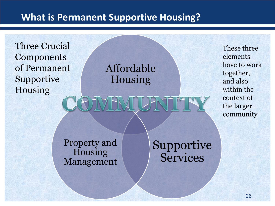### **What is Permanent Supportive Housing?**

Three Crucial Components of Permanent Supportive Housing

Affordable Housing

These three elements have to work together, and also within the context of the larger community

Property and **Housing** Management Supportive **Services**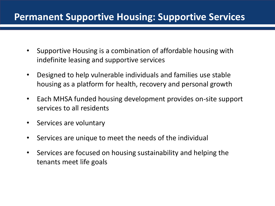#### **Permanent Supportive Housing: Supportive Services**

- Supportive Housing is a combination of affordable housing with indefinite leasing and supportive services
- Designed to help vulnerable individuals and families use stable housing as a platform for health, recovery and personal growth
- Each MHSA funded housing development provides on-site support services to all residents
- Services are voluntary
- Services are unique to meet the needs of the individual
- Services are focused on housing sustainability and helping the tenants meet life goals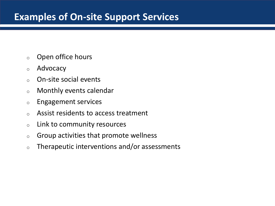#### **Examples of On-site Support Services**

- <sup>o</sup> Open office hours
- <sup>o</sup> Advocacy
- <sup>o</sup> On-site social events
- <sup>o</sup> Monthly events calendar
- <sup>o</sup> Engagement services
- <sup>o</sup> Assist residents to access treatment
- <sup>o</sup> Link to community resources
- $\circ$  Group activities that promote wellness
- $\circ$  Therapeutic interventions and/or assessments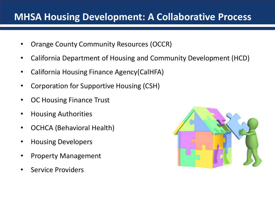#### **MHSA Housing Development: A Collaborative Process**

- Orange County Community Resources (OCCR)
- California Department of Housing and Community Development (HCD)
- California Housing Finance Agency(CalHFA)
- Corporation for Supportive Housing (CSH)
- OC Housing Finance Trust
- Housing Authorities
- OCHCA (Behavioral Health)
- Housing Developers
- Property Management
- Service Providers

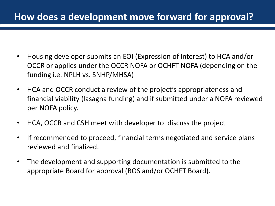# **How does a development move forward for approval?**

- Housing developer submits an EOI (Expression of Interest) to HCA and/or OCCR or applies under the OCCR NOFA or OCHFT NOFA (depending on the funding i.e. NPLH vs. SNHP/MHSA)
- HCA and OCCR conduct a review of the project's appropriateness and financial viability (lasagna funding) and if submitted under a NOFA reviewed per NOFA policy.
- HCA, OCCR and CSH meet with developer to discuss the project
- If recommended to proceed, financial terms negotiated and service plans reviewed and finalized.
- The development and supporting documentation is submitted to the appropriate Board for approval (BOS and/or OCHFT Board).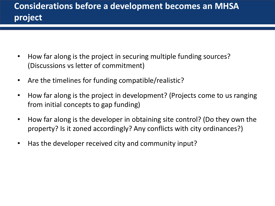- How far along is the project in securing multiple funding sources? (Discussions vs letter of commitment)
- Are the timelines for funding compatible/realistic?
- How far along is the project in development? (Projects come to us ranging from initial concepts to gap funding)
- How far along is the developer in obtaining site control? (Do they own the property? Is it zoned accordingly? Any conflicts with city ordinances?)
- Has the developer received city and community input?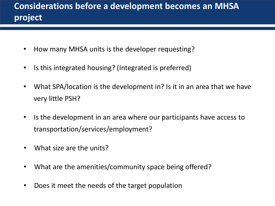# **Considerations before a development becomes an MHSA project**

- How many MHSA units is the developer requesting?
- Is this integrated housing? (Integrated is preferred)
- What SPA/location is the development in? Is it in an area that we have very little PSH?
- Is the development in an area where our participants have access to transportation/services/employment?
- What size are the units?
- What are the amenities/community space being offered?
- Does it meet the needs of the target population